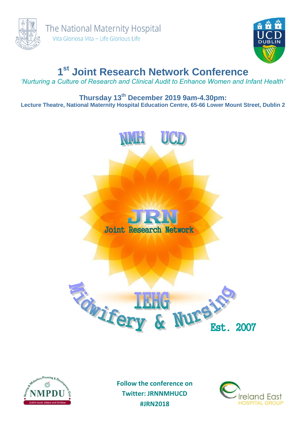



# **1 st Joint Research Network Conference**

*'Nurturing a Culture of Research and Clinical Audit to Enhance Women and Infant Health'*

## **Thursday 13th December 2019 9am-4.30pm: Lecture Theatre, National Maternity Hospital Education Centre, 65-66 Lower Mount Street, Dublin 2**





**Follow the conference on Twitter: JRNNMHUCD #JRN2018**

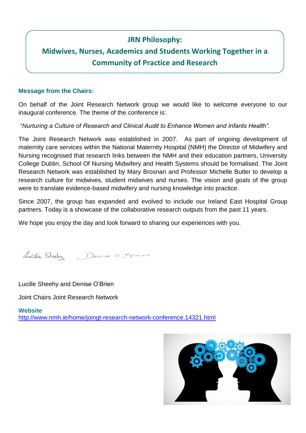## **JRN Philosophy:**

## **Midwives, Nurses, Academics and Students Working Together in a Community of Practice and Research**

#### **Message from the Chairs:**

On behalf of the Joint Research Network group we would like to welcome everyone to our inaugural conference. The theme of the conference is:

"*Nurturing a Culture of Research and Clinical Audit to Enhance Women and Infants Health".* 

The Joint Research Network was established in 2007. As part of ongoing development of maternity care services within the National Maternity Hospital (NMH) the Director of Midwifery and Nursing recognised that research links between the NMH and their education partners, University College Dublin, School Of Nursing Midwifery and Health Systems should be formalised. The Joint Research Network was established by Mary Brosnan and Professor Michelle Butler to develop a research culture for midwives, student midwives and nurses. The vision and goals of the group were to translate evidence-based midwifery and nursing knowledge into practice.

Since 2007, the group has expanded and evolved to include our Ireland East Hospital Group partners. Today is a showcase of the collaborative research outputs from the past 11 years.

We hope you enjoy the day and look forward to sharing our experiences with you.

Lucille Sheeky Denise O'Sien

Lucille Sheehy and Denise O'Brien

Joint Chairs Joint Research Network

**Website** <http://www.nmh.ie/home/joingt-research-network-conference.14321.html>

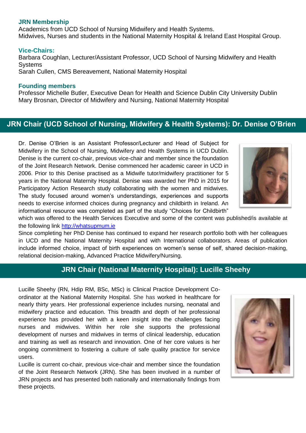#### **JRN Membership**

Academics from UCD School of Nursing Midwifery and Health Systems. Midwives, Nurses and students in the National Maternity Hospital & Ireland East Hospital Group.

#### **Vice-Chairs:**

Barbara Coughlan, Lecturer/Assistant Professor, UCD School of Nursing Midwifery and Health **Systems** Sarah Cullen, CMS Bereavement, National Maternity Hospital

#### **Founding members**

Professor Michelle Butler, Executive Dean for Health and Science Dublin City University Dublin Mary Brosnan, Director of Midwifery and Nursing, National Maternity Hospital

## **JRN Chair (UCD School of Nursing, Midwifery & Health Systems): Dr. Denise O'Brien**

Dr. Denise O'Brien is an Assistant Professor/Lecturer and Head of Subject for Midwifery in the School of Nursing, Midwifery and Health Systems in UCD Dublin. Denise is the current co-chair, previous vice-chair and member since the foundation of the Joint Research Network. Denise commenced her academic career in UCD in 2006. Prior to this Denise practised as a Midwife tutor/midwifery practitioner for 5 years in the National Maternity Hospital. Denise was awarded her PhD in 2015 for Participatory Action Research study collaborating with the women and midwives. The study focused around women's understandings, experiences and supports needs to exercise informed choices during pregnancy and childbirth in Ireland. An informational resource was completed as part of the study "Choices for Childbirth"



which was offered to the Health Services Executive and some of the content was published/is available at the following link [http://whatsupmum.ie](http://whatsupmum.ie/)

Since completing her PhD Denise has continued to expand her research portfolio both with her colleagues in UCD and the National Maternity Hospital and with International collaborators. Areas of publication include informed choice, impact of birth experiences on women's sense of self, shared decision-making, relational decision-making, Advanced Practice Midwifery/Nursing.

## **JRN Chair (National Maternity Hospital): Lucille Sheehy**

Lucille Sheehy (RN, Hdip RM, BSc, MSc) is Clinical Practice Development Coordinator at the National Maternity Hospital. She has worked in healthcare for nearly thirty years. Her professional experience includes nursing, neonatal and midwifery practice and education. This breadth and depth of her professional experience has provided her with a keen insight into the challenges facing nurses and midwives. Within her role she supports the professional development of nurses and midwives in terms of clinical leadership, education and training as well as research and innovation. One of her core values is her ongoing commitment to fostering a culture of safe quality practice for service users.

Lucille is current co-chair, previous vice-chair and member since the foundation of the Joint Research Network (JRN). She has been involved in a number of JRN projects and has presented both nationally and internationally findings from these projects.

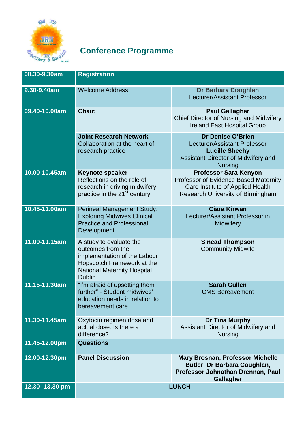

## **Conference Programme**

| 08.30-9.30am    | <b>Registration</b>                                                                                                                                               |                                                                                                                                                |
|-----------------|-------------------------------------------------------------------------------------------------------------------------------------------------------------------|------------------------------------------------------------------------------------------------------------------------------------------------|
| 9.30-9.40am     | <b>Welcome Address</b>                                                                                                                                            | Dr Barbara Coughlan<br>Lecturer/Assistant Professor                                                                                            |
| 09.40-10.00am   | Chair:                                                                                                                                                            | <b>Paul Gallagher</b><br>Chief Director of Nursing and Midwifery<br><b>Ireland East Hospital Group</b>                                         |
|                 | <b>Joint Research Network</b><br>Collaboration at the heart of<br>research practice                                                                               | Dr Denise O'Brien<br>Lecturer/Assistant Professor<br><b>Lucille Sheehy</b><br>Assistant Director of Midwifery and<br><b>Nursing</b>            |
| 10.00-10.45am   | <b>Keynote speaker</b><br>Reflections on the role of<br>research in driving midwifery<br>practice in the 21 <sup>st</sup> century                                 | <b>Professor Sara Kenyon</b><br>Professor of Evidence Based Maternity<br>Care Institute of Applied Health<br>Research University of Birmingham |
| 10.45-11.00am   | <b>Perineal Management Study:</b><br><b>Exploring Midwives Clinical</b><br><b>Practice and Professional</b><br><b>Development</b>                                 | <b>Ciara Kirwan</b><br>Lecturer/Assistant Professor in<br><b>Midwifery</b>                                                                     |
| 11.00-11.15am   | A study to evaluate the<br>outcomes from the<br>implementation of the Labour<br>Hopscotch Framework at the<br><b>National Maternity Hospital</b><br><b>Dublin</b> | <b>Sinead Thompson</b><br><b>Community Midwife</b>                                                                                             |
| 11.15-11.30am   | "I'm afraid of upsetting them<br>further" - Student midwives'<br>education needs in relation to<br>bereavement care                                               | <b>Sarah Cullen</b><br><b>CMS Bereavement</b>                                                                                                  |
| 11.30-11.45am   | Oxytocin regimen dose and<br>actual dose: Is there a<br>difference?                                                                                               | Dr Tina Murphy<br>Assistant Director of Midwifery and<br><b>Nursing</b>                                                                        |
| 11.45-12.00pm   | <b>Questions</b>                                                                                                                                                  |                                                                                                                                                |
| 12.00-12.30pm   | <b>Panel Discussion</b>                                                                                                                                           | <b>Mary Brosnan, Professor Michelle</b><br>Butler, Dr Barbara Coughlan,<br>Professor Johnathan Drennan, Paul<br><b>Gallagher</b>               |
| 12.30 -13.30 pm | <b>LUNCH</b>                                                                                                                                                      |                                                                                                                                                |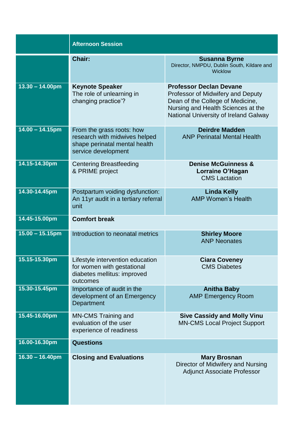|                           | <b>Afternoon Session</b>                                                                                           |                                                                                                                                                                                        |
|---------------------------|--------------------------------------------------------------------------------------------------------------------|----------------------------------------------------------------------------------------------------------------------------------------------------------------------------------------|
|                           | <b>Chair:</b>                                                                                                      | <b>Susanna Byrne</b><br>Director, NMPDU, Dublin South, Kildare and<br><b>Wicklow</b>                                                                                                   |
| $13.30 - 14.00 \text{pm}$ | <b>Keynote Speaker</b><br>The role of unlearning in<br>changing practice'?                                         | <b>Professor Declan Devane</b><br>Professor of Midwifery and Deputy<br>Dean of the College of Medicine,<br>Nursing and Health Sciences at the<br>National University of Ireland Galway |
| $14.00 - 14.15$ pm        | From the grass roots: how<br>research with midwives helped<br>shape perinatal mental health<br>service development | <b>Deirdre Madden</b><br><b>ANP Perinatal Mental Health</b>                                                                                                                            |
| 14.15-14.30pm             | <b>Centering Breastfeeding</b><br>& PRIME project                                                                  | <b>Denise McGuinness &amp;</b><br>Lorraine O'Hagan<br><b>CMS</b> Lactation                                                                                                             |
| 14.30-14.45pm             | Postpartum voiding dysfunction:<br>An 11yr audit in a tertiary referral<br>unit                                    | <b>Linda Kelly</b><br><b>AMP Women's Health</b>                                                                                                                                        |
| 14.45-15.00pm             | <b>Comfort break</b>                                                                                               |                                                                                                                                                                                        |
| $15.00 - 15.15$ pm        | Introduction to neonatal metrics                                                                                   | <b>Shirley Moore</b><br><b>ANP Neonates</b>                                                                                                                                            |
| 15.15-15.30pm             | Lifestyle intervention education<br>for women with gestational<br>diabetes mellitus: improved<br>outcomes          | <b>Ciara Coveney</b><br><b>CMS Diabetes</b>                                                                                                                                            |
| 15.30-15.45pm             | Importance of audit in the<br>development of an Emergency<br>Department                                            | <b>Anitha Baby</b><br><b>AMP Emergency Room</b>                                                                                                                                        |
| 15.45-16.00pm             | <b>MN-CMS Training and</b><br>evaluation of the user<br>experience of readiness                                    | <b>Sive Cassidy and Molly Vinu</b><br><b>MN-CMS Local Project Support</b>                                                                                                              |
| 16.00-16.30pm             | <b>Questions</b>                                                                                                   |                                                                                                                                                                                        |
| $16.30 - 16.40$ pm        | <b>Closing and Evaluations</b>                                                                                     | <b>Mary Brosnan</b><br>Director of Midwifery and Nursing<br><b>Adjunct Associate Professor</b>                                                                                         |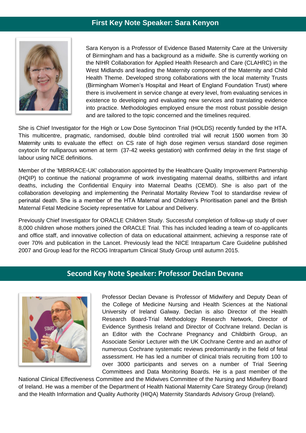## **First Key Note Speaker: Sara Kenyon**



Sara Kenyon is a Professor of Evidence Based Maternity Care at the University of Birmingham and has a background as a midwife. She is currently working on the NIHR Collaboration for Applied Health Research and Care (CLAHRC) in the West Midlands and leading the Maternity component of the Maternity and Child Health Theme. Developed strong collaborations with the local maternity Trusts (Birmingham Women's Hospital and Heart of England Foundation Trust) where there is involvement in service change at every level, from evaluating services in existence to developing and evaluating new services and translating evidence into practice. Methodologies employed ensure the most robust possible design and are tailored to the topic concerned and the timelines required.

She is Chief Investigator for the High or Low Dose Syntocinon Trial (HOLDS) recently funded by the HTA. This multicentre, pragmatic, randomised, double blind controlled trial will recruit 1500 women from 30 Maternity units to evaluate the effect on CS rate of high dose regimen versus standard dose regimen oxytocin for nulliparous women at term (37-42 weeks gestation) with confirmed delay in the first stage of labour using NICE definitions.

Member of the 'MBRRACE-UK' collaboration appointed by the Healthcare Quality Improvement Partnership (HQIP) to continue the national programme of work investigating maternal deaths, stillbirths and infant deaths, including the Confidential Enquiry into Maternal Deaths (CEMD). She is also part of the collaboration developing and implementing the Perinatal Mortality Review Tool to standardise review of perinatal death. She is a member of the HTA Maternal and Children's Prioritisation panel and the British Maternal Fetal Medicine Society representative for Labour and Delivery.

Previously Chief Investigator for ORACLE Children Study. Successful completion of follow-up study of over 8,000 children whose mothers joined the ORACLE Trial. This has included leading a team of co-applicants and office staff, and innovative collection of data on educational attainment, achieving a response rate of over 70% and publication in the Lancet. Previously lead the NICE Intrapartum Care Guideline published 2007 and Group lead for the RCOG Intrapartum Clinical Study Group until autumn 2015.

## **Second Key Note Speaker: Professor Declan Devane**



Professor Declan Devane is Professor of Midwifery and Deputy Dean of the College of Medicine Nursing and Health Sciences at the National University of Ireland Galway. Declan is also Director of the Health Research Board-Trial Methodology Research Network, Director of Evidence Synthesis Ireland and Director of Cochrane Ireland. Declan is an Editor with the Cochrane Pregnancy and Childbirth Group, an Associate Senior Lecturer with the UK Cochrane Centre and an author of numerous Cochrane systematic reviews predominantly in the field of fetal assessment. He has led a number of clinical trials recruiting from 100 to over 3000 participants and serves on a number of Trial Seering Committees and Data Monitoring Boards. He is a past member of the

National Clinical Effectiveness Committee and the Midwives Committee of the Nursing and Midwifery Board of Ireland. He was a member of the Department of Health National Maternity Care Strategy Group (Ireland) and the Health Information and Quality Authority (HIQA) Maternity Standards Advisory Group (Ireland).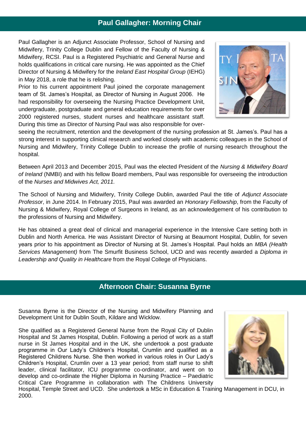## **Morning Chair and Paul Gallagher: Morning Chair**

Paul Gallagher is an Adjunct Associate Professor, School of Nursing and Midwifery, Trinity College Dublin and Fellow of the Faculty of Nursing & Midwifery, RCSI. Paul is a Registered Psychiatric and General Nurse and holds qualifications in critical care nursing. He was appointed as the Chief Director of Nursing & Midwifery for the *Ireland East Hospital Group* (IEHG) in May 2018, a role that he is relishing.

Prior to his current appointment Paul joined the corporate management team of St. James's Hospital, as Director of Nursing in August 2006. He had responsibility for overseeing the Nursing Practice Development Unit, undergraduate, postgraduate and general education requirements for over 2000 registered nurses, student nurses and healthcare assistant staff. During this time as Director of Nursing Paul was also responsible for over-



seeing the recruitment, retention and the development of the nursing profession at St. James's. Paul has a strong interest in supporting clinical research and worked closely with academic colleagues in the School of Nursing and Midwifery, Trinity College Dublin to increase the profile of nursing research throughout the hospital.

Between April 2013 and December 2015, Paul was the elected President of the *Nursing & Midwifery Board of Ireland* (NMBI) and with his fellow Board members, Paul was responsible for overseeing the introduction of the *Nurses and Midwives Act, 2011.*

The School of Nursing and Midwifery, Trinity College Dublin, awarded Paul the title of *Adjunct Associate Professor*, in June 2014. In February 2015, Paul was awarded an *Honorary Fellowship*, from the Faculty of Nursing & Midwifery, Royal College of Surgeons in Ireland, as an acknowledgement of his contribution to the professions of Nursing and Midwifery.

He has obtained a great deal of clinical and managerial experience in the Intensive Care setting both in Dublin and North America. He was Assistant Director of Nursing at Beaumont Hospital, Dublin, for seven years prior to his appointment as Director of Nursing at St. James's Hospital. Paul holds an *MBA (Health Services Management)* from The Smurfit Business School, UCD and was recently awarded a *Diploma in Leadership and Quality in Healthcare* from the Royal College of Physicians.

## **Afternoon Chair: Susanna Byrne**

Susanna Byrne is the Director of the Nursing and Midwifery Planning and Development Unit for Dublin South, Kildare and Wicklow.

She qualified as a Registered General Nurse from the Royal City of Dublin Hospital and St James Hospital, Dublin. Following a period of work as a staff nurse in St James Hospital and in the UK, she undertook a post graduate programme in Our Lady's Children's Hospital, Crumlin and qualified as a Registered Childrens Nurse. She then worked in various roles in Our Lady's Children's Hospital, Crumlin over a 13 year period; from staff nurse to shift leader, clinical facilitator, ICU programme co-ordinator, and went on to develop and co-ordinate the Higher Diploma in Nursing Practice – Paediatric Critical Care Programme in collaboration with The Childrens University



Hospital, Temple Street and UCD. She undertook a MSc in Education & Training Management in DCU, in 2000.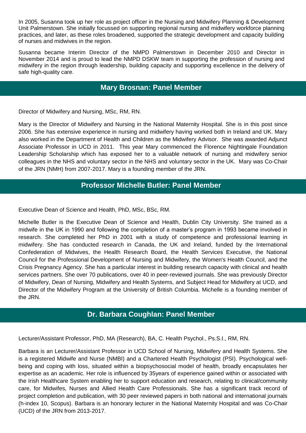In 2005, Susanna took up her role as project officer in the Nursing and Midwifery Planning & Development Unit Palmerstown. She initially focussed on supporting regional nursing and midwifery workforce planning practices, and later, as these roles broadened, supported the strategic development and capacity building of nurses and midwives in the region.

Susanna became Interim Director of the NMPD Palmerstown in December 2010 and Director in November 2014 and is proud to lead the NMPD DSKW team in supporting the profession of nursing and midwifery in the region through leadership, building capacity and supporting excellence in the delivery of safe high-quality care.

## **Mary Brosnan: Panel Member**

Director of Midwifery and Nursing, MSc, RM, RN.

Mary is the Director of Midwifery and Nursing in the National Maternity Hospital. She is in this post since 2006. She has extensive experience in nursing and midwifery having worked both in Ireland and UK. Mary also worked in the Department of Health and Children as the Midwifery Advisor. She was awarded Adjunct Associate Professor in UCD in 2011. This year Mary commenced the Florence Nightingale Foundation Leadership Scholarship which has exposed her to a valuable network of nursing and midwifery senior colleagues in the NHS and voluntary sector in the NHS and voluntary sector in the UK. Mary was Co-Chair of the JRN (NMH) from 2007-2017. Mary is a founding member of the JRN.

## **Professor Michelle Butler: Panel Member**

Executive Dean of Science and Health, PhD, MSc, BSc, RM.

Michelle Butler is the Executive Dean of Science and Health, Dublin City University. She trained as a midwife in the UK in 1990 and following the completion of a master's program in 1993 became involved in research. She completed her PhD in 2001 with a study of competence and professional learning in midwifery. She has conducted research in Canada, the UK and Ireland, funded by the International Confederation of Midwives, the Health Research Board, the Health Services Executive, the National Council for the Professional Development of Nursing and Midwifery, the Women's Health Council, and the Crisis Pregnancy Agency. She has a particular interest in building research capacity with clinical and health services partners. She over 70 publications, over 40 in peer-reviewed journals. She was previously Director of Midwifery, Dean of Nursing, Midwifery and Health Systems, and Subject Head for Midwifery at UCD, and Director of the Midwifery Program at the University of British Columbia. Michelle is a founding member of the JRN.

## **Dr. Barbara Coughlan: Panel Member**

Lecturer/Assistant Professor, PhD, MA (Research), BA, C. Health Psychol., Ps.S.I., RM, RN.

Barbara is an Lecturer/Assistant Professor in UCD School of Nursing, Midwifery and Health Systems. She is a registered Midwife and Nurse (NMBI) and a Chartered Health Psychologist (PSI). Psychological wellbeing and coping with loss, situated within a biopsychosocial model of health, broadly encapsulates her expertise as an academic. Her role is influenced by 35years of experience gained within or associated with the Irish Healthcare System enabling her to support education and research, relating to clinical/community care, for Midwifes, Nurses and Allied Health Care Professionals. She has a significant track record of project completion and publication, with 30 peer reviewed papers in both national and international journals (h-index 10, Scopus). Barbara is an honorary lecturer in the National Maternity Hospital and was Co-Chair (UCD) of the JRN from 2013-2017.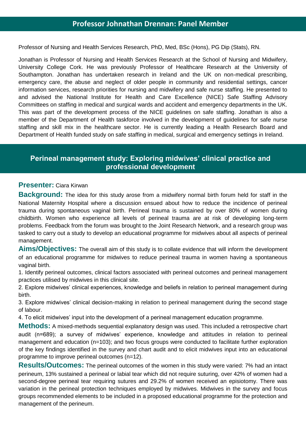Professor of Nursing and Health Services Research, PhD, Med, BSc (Hons), PG Dip (Stats), RN.

Jonathan is Professor of Nursing and Health Services Research at the School of Nursing and Midwifery, University College Cork. He was previously Professor of Healthcare Research at the University of Southampton. Jonathan has undertaken research in Ireland and the UK on non-medical prescribing, emergency care, the abuse and neglect of older people in community and residential settings, cancer information services, research priorities for nursing and midwifery and safe nurse staffing. He presented to and advised the National Institute for Health and Care Excellence (NICE) Safe Staffing Advisory Committees on staffing in medical and surgical wards and accident and emergency departments in the UK. This was part of the development process of the NICE guidelines on safe staffing. Jonathan is also a member of the Department of Health taskforce involved in the development of guidelines for safe nurse staffing and skill mix in the healthcare sector. He is currently leading a Health Research Board and Department of Health funded study on safe staffing in medical, surgical and emergency settings in Ireland.

## **Perineal management study: Exploring midwives' clinical practice and professional development**

#### **Presenter:** Ciara Kirwan

**Background:** The idea for this study arose from a midwifery normal birth forum held for staff in the National Maternity Hospital where a discussion ensued about how to reduce the incidence of perineal trauma during spontaneous vaginal birth. Perineal trauma is sustained by over 80% of women during childbirth. Women who experience all levels of perineal trauma are at risk of developing long-term problems. Feedback from the forum was brought to the Joint Research Network, and a research group was tasked to carry out a study to develop an educational programme for midwives about all aspects of perineal management.

**Aims/Objectives:** The overall aim of this study is to collate evidence that will inform the development of an educational programme for midwives to reduce perineal trauma in women having a spontaneous vaginal birth.

1. Identify perineal outcomes, clinical factors associated with perineal outcomes and perineal management practices utilised by midwives in this clinical site.

2. Explore midwives' clinical experiences, knowledge and beliefs in relation to perineal management during birth.

3. Explore midwives' clinical decision-making in relation to perineal management during the second stage of labour.

4. To elicit midwives' input into the development of a perineal management education programme.

**Methods:** A mixed-methods sequential explanatory design was used. This included a retrospective chart audit (n=689); a survey of midwives' experience, knowledge and attitudes in relation to perineal management and education (n=103); and two focus groups were conducted to facilitate further exploration of the key findings identified in the survey and chart audit and to elicit midwives input into an educational programme to improve perineal outcomes (n=12).

**Results/Outcomes:** The perineal outcomes of the women in this study were varied: 7% had an intact perineum, 13% sustained a perineal or labial tear which did not require suturing, over 42% of women had a second-degree perineal tear requiring sutures and 29.2% of women received an episiotomy. There was variation in the perineal protection techniques employed by midwives. Midwives in the survey and focus groups recommended elements to be included in a proposed educational programme for the protection and management of the perineum.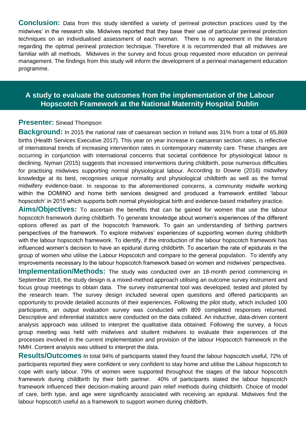**Conclusion:** Data from this study identified a variety of perineal protection practices used by the midwives' in the research site. Midwives reported that they base their use of particular perineal protection techniques on an individualised assessment of each woman. There is no agreement in the literature regarding the optimal perineal protection technique. Therefore it is recommended that all midwives are familiar with all methods. Midwives in the survey and focus group requested more education on perineal management. The findings from this study will inform the development of a perineal management education programme.

## **A study to evaluate the outcomes from the implementation of the Labour Hopscotch Framework at the National Maternity Hospital Dublin**

#### **Presenter:** Sinead Thompson

**Background:** In 2015 the national rate of caesarean section in Ireland was 31% from a total of 65,869 births (Health Services Executive 2017). This year on year increase in caesarean section rates, is reflective of international trends of increasing intervention rates in contemporary maternity care. These changes are occurring in conjunction with international concerns that societal confidence for physiological labour is declining. Nyman (2015) suggests that increased interventions during childbirth, pose numerous difficulties for practising midwives supporting normal physiological labour. According to Downe (2016) midwifery knowledge at its best, recognises unique normality and physiological childbirth as well as the formal midwifery evidence-base. In response to the aforementioned concerns, a community midwife working within the DOMINO and home birth services designed and produced a framework entitled 'labour hopscotch' in 2015 which supports both normal physiological birth and evidence-based midwifery practice.

**Aims/Objectives:** To ascertain the benefits that can be gained for women that use the labour hopscotch framework during childbirth. To generate knowledge about women's experiences of the different options offered as part of the hopscotch framework. To gain an understanding of birthing partners perspectives of the framework. To explore midwives' experiences of supporting women during childbirth with the labour hopscotch framework. To identify, if the introduction of the labour hopscotch framework has influenced women's decision to have an epidural during childbirth. To ascertain the rate of epidurals in the group of women who utilise the Labour Hopscotch and compare to the general population. To identify any improvements necessary to the labour hopscotch framework based on women and midwives' perspectives.

**Implementation/Methods:** The study was conducted over an 18-month period commencing in September 2016, the study design is a mixed-method approach utilising an outcome survey instrument and focus group meetings to obtain data. The survey instrumental tool was developed, tested and piloted by the research team. The survey design included several open questions and offered participants an opportunity to provide detailed accounts of their experiences. Following the pilot study, which included 100 participants, an output evaluation survey was conducted with 809 completed responses returned. Descriptive and inferential statistics were conducted on the data collated. An inductive, data-driven content analysis approach was utilised to interpret the qualitative data obtained. Following the survey, a focus group meeting was held with midwives and student midwives to evaluate their experiences of the processes involved in the current implementation and provision of the labour Hopscotch framework in the NMH. Content analysis was utilised to interpret the data.

**Results/Outcomes** In total 94% of participants stated they found the labour hopscotch useful, 72% of participants reported they were confident or very confident to stay home and utilise the Labour hopscotch to cope with early labour. 79% of women were supported throughout the stages of the labour hopscotch framework during childbirth by their birth partner. 40% of participants stated the labour hopscotch framework influenced their decision-making around pain relief methods during childbirth. Choice of model of care, birth type, and age were significantly associated with receiving an epidural. Midwives find the labour hopscotch useful as a framework to support women during childbirth.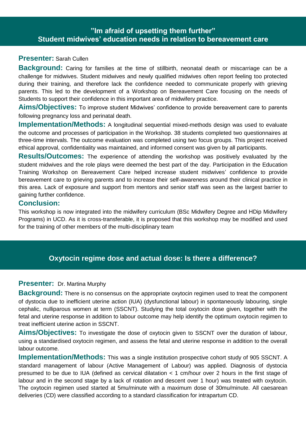## **"Im afraid of upsetting them further" Student midwives' education needs in relation to bereavement care**

#### **Presenter:** Sarah Cullen

**Background:** Caring for families at the time of stillbirth, neonatal death or miscarriage can be a challenge for midwives. Student midwives and newly qualified midwives often report feeling too protected during their training, and therefore lack the confidence needed to communicate properly with grieving parents. This led to the development of a Workshop on Bereavement Care focusing on the needs of Students to support their confidence in this important area of midwifery practice.

**Aims/Objectives:** To improve student Midwives' confidence to provide bereavement care to parents following pregnancy loss and perinatal death.

**Implementation/Methods:** A longitudinal sequential mixed-methods design was used to evaluate the outcome and processes of participation in the Workshop. 38 students completed two questionnaires at three-time intervals. The outcome evaluation was completed using two focus groups. This project received ethical approval, confidentiality was maintained, and informed consent was given by all participants.

**Results/Outcomes:** The experience of attending the workshop was positively evaluated by the student midwives and the role plays were deemed the best part of the day. Participation in the Education Training Workshop on Bereavement Care helped increase student midwives' confidence to provide bereavement care to grieving parents and to increase their self-awareness around their clinical practice in this area. Lack of exposure and support from mentors and senior staff was seen as the largest barrier to gaining further confidence.

#### **Conclusion:**

This workshop is now integrated into the midwifery curriculum (BSc Midwifery Degree and HDip Midwifery Programs) in UCD. As it is cross-transferable, it is proposed that this workshop may be modified and used for the training of other members of the multi-disciplinary team

## **Oxytocin regime dose and actual dose: Is there a difference?**

#### **Presenter:** Dr. Martina Murphy

**Background:** There is no consensus on the appropriate oxytocin regimen used to treat the component of dystocia due to inefficient uterine action (IUA) (dysfunctional labour) in spontaneously labouring, single cephalic, nulliparous women at term (SSCNT). Studying the total oxytocin dose given, together with the fetal and uterine response in addition to labour outcome may help identify the optimum oxytocin regimen to treat inefficient uterine action in SSCNT.

**Aims/Objectives:** To investigate the dose of oxytocin given to SSCNT over the duration of labour, using a standardised oxytocin regimen, and assess the fetal and uterine response in addition to the overall labour outcome.

**Implementation/Methods:** This was a single institution prospective cohort study of 905 SSCNT. A standard management of labour (Active Management of Labour) was applied. Diagnosis of dystocia presumed to be due to IUA (defined as cervical dilatation < 1 cm/hour over 2 hours in the first stage of labour and in the second stage by a lack of rotation and descent over 1 hour) was treated with oxytocin. The oxytocin regimen used started at 5mu/minute with a maximum dose of 30mu/minute. All caesarean deliveries (CD) were classified according to a standard classification for intrapartum CD.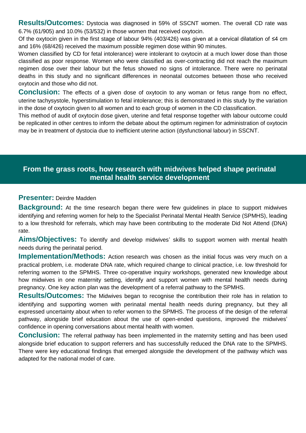**Results/Outcomes:** Dystocia was diagnosed in 59% of SSCNT women. The overall CD rate was 6.7% (61/905) and 10.0% (53/532) in those women that received oxytocin.

Of the oxytocin given in the first stage of labour 94% (403/426) was given at a cervical dilatation of ≤4 cm and 16% (68/426) received the maximum possible regimen dose within 90 minutes.

Women classified by CD for fetal intolerance) were intolerant to oxytocin at a much lower dose than those classified as poor response. Women who were classified as over-contracting did not reach the maximum regimen dose over their labour but the fetus showed no signs of intolerance. There were no perinatal deaths in this study and no significant differences in neonatal outcomes between those who received oxytocin and those who did not.

**Conclusion:** The effects of a given dose of oxytocin to any woman or fetus range from no effect, uterine tachysystole, hyperstimulation to fetal intolerance; this is demonstrated in this study by the variation in the dose of oxytocin given to all women and to each group of women in the CD classification.

This method of audit of oxytocin dose given, uterine and fetal response together with labour outcome could be replicated in other centres to inform the debate about the optimum regimen for administration of oxytocin may be in treatment of dystocia due to inefficient uterine action (dysfunctional labour) in SSCNT.

## **From the grass roots, how research with midwives helped shape perinatal mental health service development**

#### **Presenter:** Deirdre Madden

**Background:** At the time research began there were few guidelines in place to support midwives identifying and referring women for help to the Specialist Perinatal Mental Health Service (SPMHS), leading to a low threshold for referrals, which may have been contributing to the moderate Did Not Attend (DNA) rate.

**Aims/Objectives:** To identify and develop midwives' skills to support women with mental health needs during the perinatal period.

**Implementation/Methods:** Action research was chosen as the initial focus was very much on a practical problem, i.e. moderate DNA rate, which required change to clinical practice, i.e. low threshold for referring women to the SPMHS. Three co-operative inquiry workshops, generated new knowledge about how midwives in one maternity setting, identify and support women with mental health needs during pregnancy. One key action plan was the development of a referral pathway to the SPMHS.

**Results/Outcomes:** The Midwives began to recognise the contribution their role has in relation to identifying and supporting women with perinatal mental health needs during pregnancy, but they all expressed uncertainty about when to refer women to the SPMHS. The process of the design of the referral pathway, alongside brief education about the use of open-ended questions, improved the midwives' confidence in opening conversations about mental health with women.

**Conclusion:** The referral pathway has been implemented in the maternity setting and has been used alongside brief education to support referrers and has successfully reduced the DNA rate to the SPMHS. There were key educational findings that emerged alongside the development of the pathway which was adapted for the national model of care.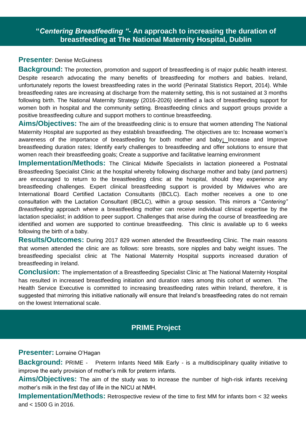## **"***Centering Breastfeeding "***- An approach to increasing the duration of breastfeeding at The National Maternity Hospital, Dublin**

#### **Presenter**: Denise McGuiness

**Background:** The protection, promotion and support of breastfeeding is of major public health interest. Despite research advocating the many benefits of breastfeeding for mothers and babies. Ireland, unfortunately reports the lowest breastfeeding rates in the world (Perinatal Statistics Report, 2014). While breastfeeding rates are increasing at discharge from the maternity setting, this is not sustained at 3 months following birth. The National Maternity Strategy (2016-2026) identified a lack of breastfeeding support for women both in hospital and the community setting. Breastfeeding clinics and support groups provide a positive breastfeeding culture and support mothers to continue breastfeeding.

**Aims/Objectives:** The aim of the breastfeeding clinic is to ensure that women attending The National Maternity Hospital are supported as they establish breastfeeding. The objectives are to**:** Increase women's awareness of the importance of breastfeeding for both mother and baby**;** Increase and Improve breastfeeding duration rates; Identify early challenges to breastfeeding and offer solutions to ensure that women reach their breastfeeding goals; Create a supportive and facilitative learning environment

**Implementation/Methods:** The Clinical Midwife Specialists in lactation pioneered a Postnatal Breastfeeding Specialist Clinic at the hospital whereby following discharge mother and baby (and partners) are encouraged to return to the breastfeeding clinic at the hospital, should they experience any breastfeeding challenges. Expert clinical breastfeeding support is provided by Midwives who are International Board Certified Lactation Consultants (IBCLC). Each mother receives a one to one consultation with the Lactation Consultant (IBCLC), within a group session. This mirrors a "*Centering" Breastfeeding* approach where a breastfeeding mother can receive individual clinical expertise by the lactation specialist; in addition to peer support. Challenges that arise during the course of breastfeeding are identified and women are supported to continue breastfeeding. This clinic is available up to 6 weeks following the birth of a baby.

**Results/Outcomes:** During 2017 829 women attended the Breastfeeding Clinic. The main reasons that women attended the clinic are as follows: sore breasts, sore nipples and baby weight issues. The breastfeeding specialist clinic at The National Maternity Hospital supports increased duration of breastfeeding in Ireland.

**Conclusion:** The implementation of a Breastfeeding Specialist Clinic at The National Maternity Hospital has resulted in increased breastfeeding initiation and duration rates among this cohort of women. The Health Service Executive is committed to increasing breastfeeding rates within Ireland, therefore, it is suggested that mirroring this initiative nationally will ensure that Ireland's breastfeeding rates do not remain on the lowest International scale.

## **PRIME Project**

#### **Presenter:** Lorraine O'Hagan

**Background:** PRIME - Preterm Infants Need Milk Early - is a multidisciplinary quality initiative to improve the early provision of mother's milk for preterm infants.

**Aims/Objectives:** The aim of the study was to increase the number of high-risk infants receiving mother's milk in the first day of life in the NICU at NMH.

**Implementation/Methods:** Retrospective review of the time to first MM for infants born < 32 weeks and < 1500 G in 2016.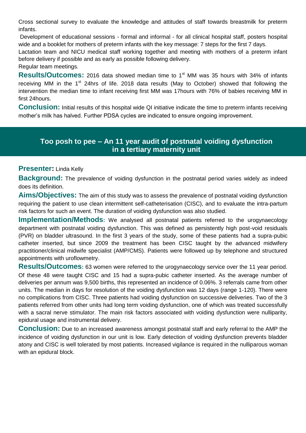Cross sectional survey to evaluate the knowledge and attitudes of staff towards breastmilk for preterm infants.

Development of educational sessions - formal and informal - for all clinical hospital staff, posters hospital wide and a booklet for mothers of preterm infants with the key message: 7 steps for the first 7 days.

Lactation team and NICU medical staff working together and meeting with mothers of a preterm infant before delivery if possible and as early as possible following delivery.

Regular team meetings.

**Results/Outcomes:** 2016 data showed median time to 1<sup>st</sup> MM was 35 hours with 34% of infants receiving MM in the 1<sup>st</sup> 24hrs of life. 2018 data results (May to October) showed that following the intervention the median time to infant receiving first MM was 17hours with 76% of babies receiving MM in first 24hours.

**Conclusion:** Initial results of this hospital wide QI initiative indicate the time to preterm infants receiving mother's milk has halved. Further PDSA cycles are indicated to ensure ongoing improvement.

## **Too posh to pee – An 11 year audit of postnatal voiding dysfunction in a tertiary maternity unit**

#### **Presenter:** Linda Kelly

**Background:** The prevalence of voiding dysfunction in the postnatal period varies widely as indeed does its definition.

**Aims/Objectives:** The aim of this study was to assess the prevalence of postnatal voiding dysfunction requiring the patient to use clean intermittent self-catheterisation (CISC), and to evaluate the intra-partum risk factors for such an event. The duration of voiding dysfunction was also studied.

**Implementation/Methods**: We analysed all postnatal patients referred to the urogynaecology department with postnatal voiding dysfunction. This was defined as persistently high post-void residuals (PVR) on bladder ultrasound. In the first 3 years of the study, some of these patients had a supra-pubic catheter inserted, but since 2009 the treatment has been CISC taught by the advanced midwifery practitioner/clinical midwife specialist (AMP/CMS). Patients were followed up by telephone and structured appointments with uroflowmetry.

**Results/Outcomes:** 63 women were referred to the urogynaecology service over the 11 year period. Of these 48 were taught CISC and 15 had a supra-pubic catheter inserted. As the average number of deliveries per annum was 9,500 births, this represented an incidence of 0.06%. 3 referrals came from other units. The median in days for resolution of the voiding dysfunction was 12 days (range 1-120). There were no complications from CISC. Three patients had voiding dysfunction on successive deliveries. Two of the 3 patients referred from other units had long term voiding dysfunction, one of which was treated successfully with a sacral nerve stimulator. The main risk factors associated with voiding dysfunction were nulliparity, epidural usage and instrumental delivery.

**Conclusion:** Due to an increased awareness amongst postnatal staff and early referral to the AMP the incidence of voiding dysfunction in our unit is low. Early detection of voiding dysfunction prevents bladder atony and CISC is well tolerated by most patients. Increased vigilance is required in the nulliparous woman with an epidural block.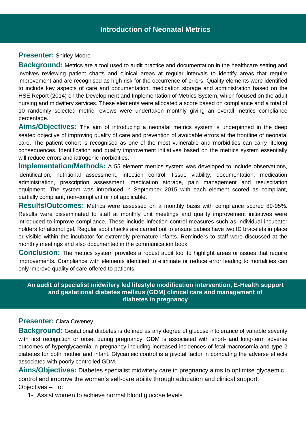## **Presenter:** Shirley Moore

**Background:** Metrics are a tool used to audit practice and documentation in the healthcare setting and involves reviewing patient charts and clinical areas at regular intervals to identify areas that require improvement and are recognised as high risk for the occurrence of errors. Quality elements were identified to include key aspects of care and documentation, medication storage and administration based on the HSE Report (2014) on the Development and Implementation of Metrics System, which focused on the adult nursing and midwifery services. These elements were allocated a score based on compliance and a total of 10 randomly selected metric reviews were undertaken monthly giving an overall metrics compliance percentage.

**Aims/Objectives:** The aim of introducing a neonatal metrics system is underpinned in the deep seated objective of improving quality of care and prevention of avoidable errors at the frontline of neonatal care. The patient cohort is recognised as one of the most vulnerable and morbidities can carry lifelong consequences. Identification and quality improvement initiatives based on the metrics system essentially will reduce errors and iatrogenic morbidities.

**Implementation/Methods:** A 55 element metrics system was developed to include observations, identification, nutritional assessment, infection control, tissue viability, documentation, medication administration, prescription assessment, medication storage, pain management and resuscitation equipment. The system was introduced in September 2015 with each element scored as compliant, partially compliant, non-compliant or not applicable.

**Results/Outcomes:** Metrics were assessed on a monthly basis with compliance scored 89-95%. Results were disseminated to staff at monthly unit meetings and quality improvement initiatives were introduced to improve compliance. These include infection control measures such as individual incubator holders for alcohol gel. Regular spot checks are carried out to ensure babies have two ID bracelets in place or visible within the incubator for extremely premature infants. Reminders to staff were discussed at the monthly meetings and also documented in the communication book.

**Conclusion:** The metrics system provides a robust audit tool to highlight areas or issues that require improvements. Compliance with elements identified to eliminate or reduce error leading to mortalities can only improve quality of care offered to patients.

#### **An audit of specialist midwifery led lifestyle modification intervention, E-Health support and gestational diabetes mellitus (GDM) clinical care and management of diabetes in pregnancy**

## **Presenter:** Ciara Coveney

**Background:** Gestational diabetes is defined as any degree of glucose intolerance of variable severity with first recognition or onset during pregnancy. GDM is associated with short- and long-term adverse outcomes of hyperglycaemia in pregnancy including increased incidences of fetal macrosomia and type 2 diabetes for both mother and infant. Glycameic control is a pivotal factor in combating the adverse effects associated with poorly controlled GDM.

**Aims/Objectives:** Diabetes specialist midwifery care in pregnancy aims to optimise glycaemic control and improve the woman's self-care ability through education and clinical support. Objectives – To:

1- Assist women to achieve normal blood glucose levels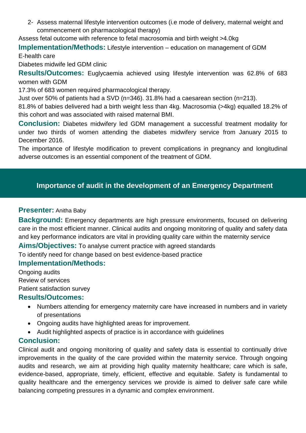2- Assess maternal lifestyle intervention outcomes (i.e mode of delivery, maternal weight and commencement on pharmacological therapy)

Assess fetal outcome with reference to fetal macrosomia and birth weight >4.0kg

**Implementation/Methods:** Lifestyle intervention – education on management of GDM

E-health care

Diabetes midwife led GDM clinic

**Results/Outcomes:** Euglycaemia achieved using lifestyle intervention was 62.8% of 683 women with GDM

17.3% of 683 women required pharmacological therapy.

Just over 50% of patients had a SVD (n=346). 31.8% had a caesarean section (n=213).

81.8% of babies delivered had a birth weight less than 4kg. Macrosomia (>4kg) equalled 18.2% of this cohort and was associated with raised maternal BMI.

**Conclusion:** Diabetes midwifery led GDM management a successful treatment modality for under two thirds of women attending the diabetes midwifery service from January 2015 to December 2016.

The importance of lifestyle modification to prevent complications in pregnancy and longitudinal adverse outcomes is an essential component of the treatment of GDM.

## **Importance of audit in the development of an Emergency Department**

### **Presenter:** Anitha Baby

**Background:** Emergency departments are high pressure environments, focused on delivering care in the most efficient manner. Clinical audits and ongoing monitoring of quality and safety data and key performance indicators are vital in providing quality care within the maternity service

**Aims/Objectives:** To analyse current practice with agreed standards

To identify need for change based on best evidence-based practice

## **Implementation/Methods:**

Ongoing audits Review of services Patient satisfaction survey

## **Results/Outcomes:**

- Numbers attending for emergency maternity care have increased in numbers and in variety of presentations
- Ongoing audits have highlighted areas for improvement.
- Audit highlighted aspects of practice is in accordance with guidelines

## **Conclusion:**

Clinical audit and ongoing monitoring of quality and safety data is essential to continually drive improvements in the quality of the care provided within the maternity service. Through ongoing audits and research, we aim at providing high quality maternity healthcare; care which is safe, evidence-based, appropriate, timely, efficient, effective and equitable. Safety is fundamental to quality healthcare and the emergency services we provide is aimed to deliver safe care while balancing competing pressures in a dynamic and complex environment.